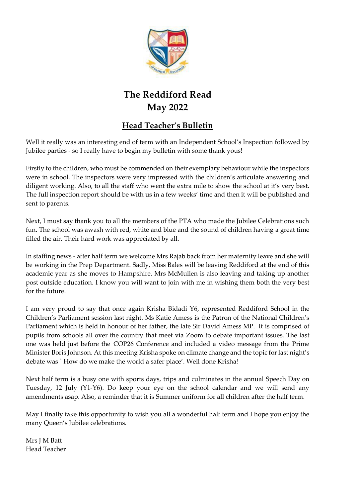

# **The Reddiford Read May 2022**

### **Head Teacher's Bulletin**

Well it really was an interesting end of term with an Independent School's Inspection followed by Jubilee parties - so I really have to begin my bulletin with some thank yous!

Firstly to the children, who must be commended on their exemplary behaviour while the inspectors were in school. The inspectors were very impressed with the children's articulate answering and diligent working. Also, to all the staff who went the extra mile to show the school at it's very best. The full inspection report should be with us in a few weeks' time and then it will be published and sent to parents.

Next, I must say thank you to all the members of the PTA who made the Jubilee Celebrations such fun. The school was awash with red, white and blue and the sound of children having a great time filled the air. Their hard work was appreciated by all.

In staffing news - after half term we welcome Mrs Rajab back from her maternity leave and she will be working in the Prep Department. Sadly, Miss Bales will be leaving Reddiford at the end of this academic year as she moves to Hampshire. Mrs McMullen is also leaving and taking up another post outside education. I know you will want to join with me in wishing them both the very best for the future.

I am very proud to say that once again Krisha Bidadi Y6, represented Reddiford School in the Children's Parliament session last night. Ms Katie Amess is the Patron of the National Children's Parliament which is held in honour of her father, the late Sir David Amess MP. It is comprised of pupils from schools all over the country that meet via Zoom to debate important issues. The last one was held just before the COP26 Conference and included a video message from the Prime Minister Boris Johnson. At this meeting Krisha spoke on climate change and the topic for last night's debate was ` How do we make the world a safer place'. Well done Krisha!

Next half term is a busy one with sports days, trips and culminates in the annual Speech Day on Tuesday, 12 July (Y1-Y6). Do keep your eye on the school calendar and we will send any amendments asap. Also, a reminder that it is Summer uniform for all children after the half term.

May I finally take this opportunity to wish you all a wonderful half term and I hope you enjoy the many Queen's Jubilee celebrations.

Mrs J M Batt Head Teacher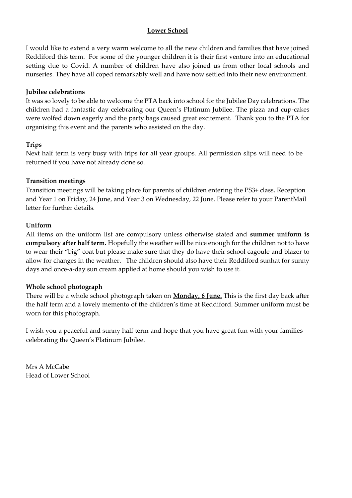#### **Lower School**

I would like to extend a very warm welcome to all the new children and families that have joined Reddiford this term. For some of the younger children it is their first venture into an educational setting due to Covid. A number of children have also joined us from other local schools and nurseries. They have all coped remarkably well and have now settled into their new environment.

#### **Jubilee celebrations**

It was so lovely to be able to welcome the PTA back into school for the Jubilee Day celebrations. The children had a fantastic day celebrating our Queen's Platinum Jubilee. The pizza and cup-cakes were wolfed down eagerly and the party bags caused great excitement. Thank you to the PTA for organising this event and the parents who assisted on the day.

#### **Trips**

Next half term is very busy with trips for all year groups. All permission slips will need to be returned if you have not already done so.

#### **Transition meetings**

Transition meetings will be taking place for parents of children entering the PS3+ class, Reception and Year 1 on Friday, 24 June, and Year 3 on Wednesday, 22 June. Please refer to your ParentMail letter for further details.

#### **Uniform**

All items on the uniform list are compulsory unless otherwise stated and **summer uniform is compulsory after half term.** Hopefully the weather will be nice enough for the children not to have to wear their "big" coat but please make sure that they do have their school cagoule and blazer to allow for changes in the weather. The children should also have their Reddiford sunhat for sunny days and once-a-day sun cream applied at home should you wish to use it.

#### **Whole school photograph**

There will be a whole school photograph taken on **Monday, 6 June.** This is the first day back after the half term and a lovely memento of the children's time at Reddiford. Summer uniform must be worn for this photograph.

I wish you a peaceful and sunny half term and hope that you have great fun with your families celebrating the Queen's Platinum Jubilee.

Mrs A McCabe Head of Lower School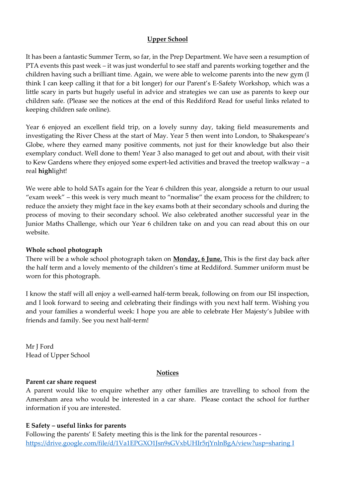#### **Upper School**

It has been a fantastic Summer Term, so far, in the Prep Department. We have seen a resumption of PTA events this past week – it was just wonderful to see staff and parents working together and the children having such a brilliant time. Again, we were able to welcome parents into the new gym (I think I can keep calling it that for a bit longer) for our Parent's E-Safety Workshop, which was a little scary in parts but hugely useful in advice and strategies we can use as parents to keep our children safe. (Please see the notices at the end of this Reddiford Read for useful links related to keeping children safe online).

Year 6 enjoyed an excellent field trip, on a lovely sunny day, taking field measurements and investigating the River Chess at the start of May. Year 5 then went into London, to Shakespeare's Globe, where they earned many positive comments, not just for their knowledge but also their exemplary conduct. Well done to them! Year 3 also managed to get out and about, with their visit to Kew Gardens where they enjoyed some expert-led activities and braved the treetop walkway – a real **high**light!

We were able to hold SATs again for the Year 6 children this year, alongside a return to our usual "exam week" – this week is very much meant to "normalise" the exam process for the children; to reduce the anxiety they might face in the key exams both at their secondary schools and during the process of moving to their secondary school. We also celebrated another successful year in the Junior Maths Challenge, which our Year 6 children take on and you can read about this on our website.

#### **Whole school photograph**

There will be a whole school photograph taken on **Monday, 6 June.** This is the first day back after the half term and a lovely memento of the children's time at Reddiford. Summer uniform must be worn for this photograph.

I know the staff will all enjoy a well-earned half-term break, following on from our ISI inspection, and I look forward to seeing and celebrating their findings with you next half term. Wishing you and your families a wonderful week: I hope you are able to celebrate Her Majesty's Jubilee with friends and family. See you next half-term!

Mr J Ford Head of Upper School

#### **Notices**

#### **Parent car share request**

A parent would like to enquire whether any other families are travelling to school from the Amersham area who would be interested in a car share. Please contact the school for further information if you are interested.

#### **E Safety – useful links for parents**

Following the parents' E Safety meeting this is the link for the parental resources [https://drive.google.com/file/d/1Va1EPGXO1Jsn9sGVxbUHIr5rjYnlnBgA/view?usp=sharing I](https://drive.google.com/file/d/1Va1EPGXO1Jsn9sGVxbUHIr5rjYnlnBgA/view?usp=sharing%20I)